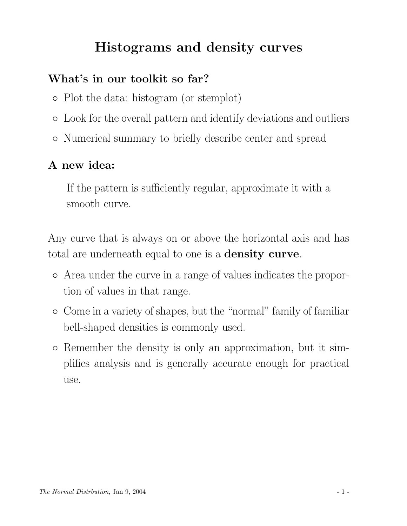## Histograms and density curves

#### What's in our toolkit so far?

- Plot the data: histogram (or stemplot)
- Look for the overall pattern and identify deviations and outliers
- Numerical summary to briefly describe center and spread

#### A new idea:

If the pattern is sufficiently regular, approximate it with a smooth curve.

Any curve that is always on or above the horizontal axis and has total are underneath equal to one is a **density curve**.

- Area under the curve in a range of values indicates the proportion of values in that range.
- Come in a variety of shapes, but the "normal" family of familiar bell-shaped densities is commonly used.
- Remember the density is only an approximation, but it simplifies analysis and is generally accurate enough for practical use.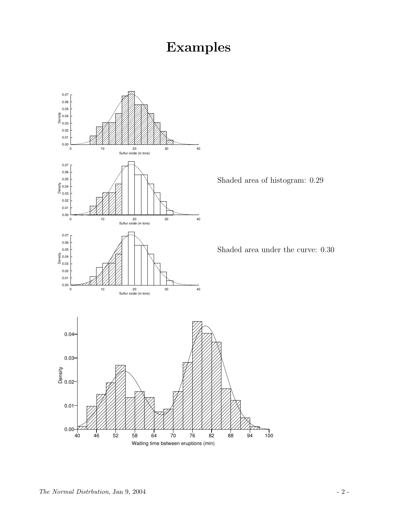# Examples

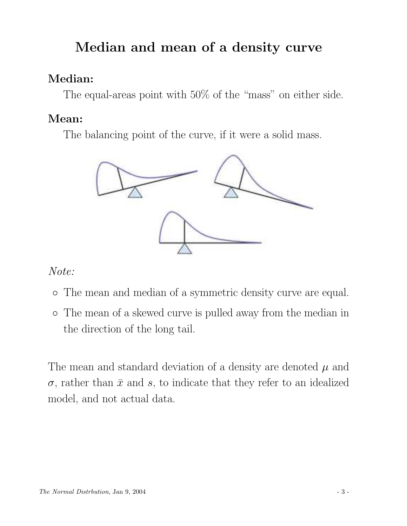# Median and mean of a density curve

### Median:

The equal-areas point with 50% of the "mass" on either side.

### Mean:

The balancing point of the curve, if it were a solid mass.



#### Note:

- The mean and median of a symmetric density curve are equal.
- The mean of a skewed curve is pulled away from the median in the direction of the long tail.

The mean and standard deviation of a density are denoted  $\mu$  and  $\sigma$ , rather than  $\bar{x}$  and s, to indicate that they refer to an idealized model, and not actual data.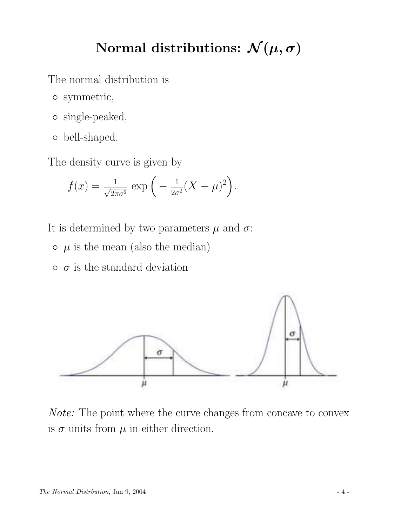## Normal distributions:  $\mathcal{N}(\mu, \sigma)$

The normal distribution is

- symmetric,
- single-peaked,
- bell-shaped.

The density curve is given by

$$
f(x) = \frac{1}{\sqrt{2\pi\sigma^2}} \exp\left(-\frac{1}{2\sigma^2}(X-\mu)^2\right).
$$

It is determined by two parameters  $\mu$  and  $\sigma$ :

- $\circ$   $\mu$  is the mean (also the median)
- $\circ$   $\sigma$  is the standard deviation



Note: The point where the curve changes from concave to convex is  $\sigma$  units from  $\mu$  in either direction.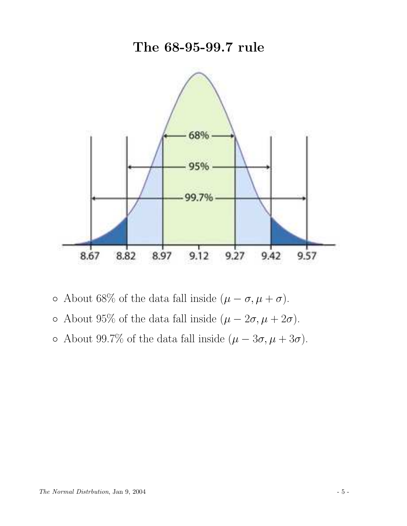### The 68-95-99.7 rule



- About 68% of the data fall inside (µ − σ, µ + σ).
- About 95% of the data fall inside  $(\mu 2\sigma, \mu + 2\sigma)$ .
- About 99.7% of the data fall inside (µ − 3σ, µ + 3σ).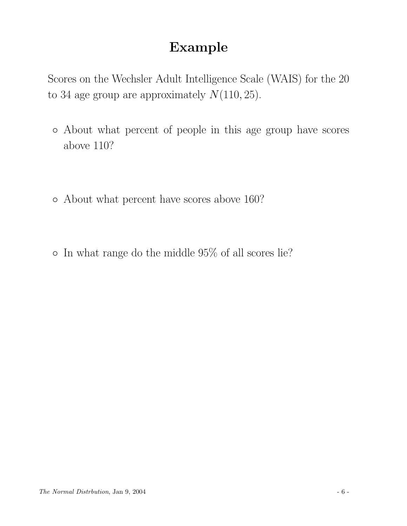## Example

Scores on the Wechsler Adult Intelligence Scale (WAIS) for the 20 to 34 age group are approximately  $N(110, 25)$ .

- About what percent of people in this age group have scores above 110?
- About what percent have scores above 160?
- In what range do the middle 95% of all scores lie?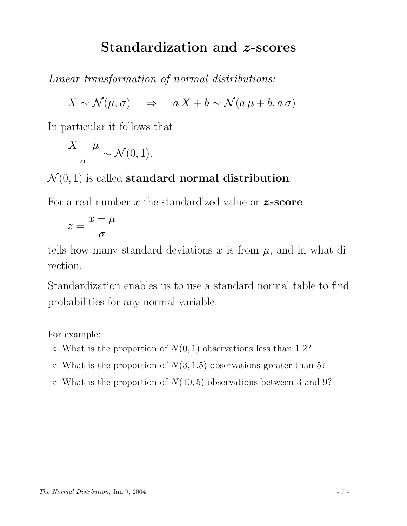### Standardization and z-scores

Linear transformation of normal distributions:

$$
X \sim \mathcal{N}(\mu, \sigma) \quad \Rightarrow \quad a \, X + b \sim \mathcal{N}(a \, \mu + b, a \, \sigma)
$$

In particular it follows that

$$
\frac{X-\mu}{\sigma} \sim \mathcal{N}(0,1).
$$

#### $\mathcal{N}(0, 1)$  is called **standard normal distribution**.

For a real number  $x$  the standardized value or  $z$ -score

$$
z = \frac{x - \mu}{\sigma}
$$

tells how many standard deviations x is from  $\mu$ , and in what direction.

Standardization enables us to use a standard normal table to find probabilities for any normal variable.

For example:

- $\circ$  What is the proportion of  $N(0, 1)$  observations less than 1.2?
- $\circ$  What is the proportion of  $N(3, 1.5)$  observations greater than 5?
- $\circ$  What is the proportion of  $N(10, 5)$  observations between 3 and 9?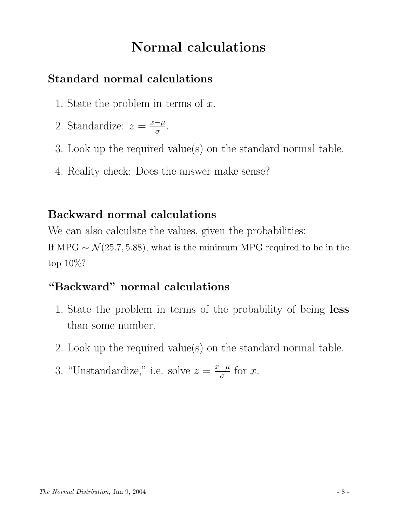## Normal calculations

#### Standard normal calculations

- 1. State the problem in terms of  $x$ .
- 2. Standardize:  $z = \frac{x-\mu}{\sigma}$  $\frac{-\mu}{\sigma}$ .
- 3. Look up the required value(s) on the standard normal table.
- 4. Reality check: Does the answer make sense?

### Backward normal calculations

We can also calculate the values, given the probabilities: If MPG  $\sim \mathcal{N}(25.7, 5.88)$ , what is the minimum MPG required to be in the top 10%?

### "Backward" normal calculations

- 1. State the problem in terms of the probability of being less than some number.
- 2. Look up the required value(s) on the standard normal table.
- 3. "Unstandardize," i.e. solve  $z = \frac{x-\mu}{\sigma}$  $\frac{-\mu}{\sigma}$  for x.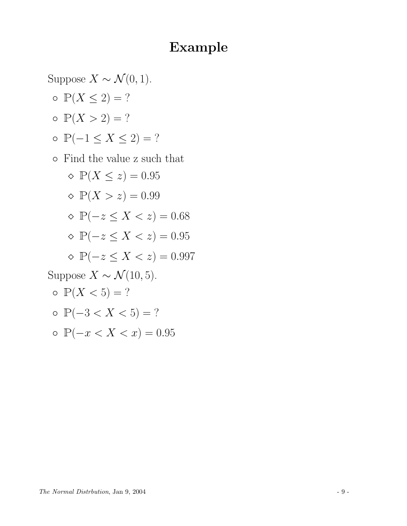### Example

Suppose  $X \sim \mathcal{N}(0, 1)$ .  $\circ \mathbb{P}(X \leq 2) = ?$  $P(X > 2) = ?$ ◦ P(−1 ≤ X ≤ 2) = ? ◦ Find the value z such that  $\Diamond P(X \leq z) = 0.95$  $\Diamond P(X > z) = 0.99$  $\Diamond P(-z \leq X < z) = 0.68$  $\Diamond P(-z \leq X < z) = 0.95$  $\Diamond P(-z \leq X \leq z) = 0.997$ Suppose  $X \sim \mathcal{N}(10, 5)$ .  $\circ \mathbb{P}(X < 5) = ?$ ◦ P(−3 < X < 5) = ? ◦ P(−x < X < x) = 0.95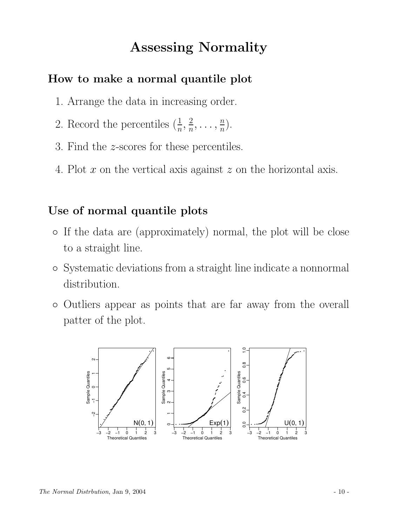### Assessing Normality

#### How to make a normal quantile plot

- 1. Arrange the data in increasing order.
- 2. Record the percentiles  $(\frac{1}{n}, \frac{2}{n})$  $\frac{2}{n}, \ldots, \frac{n}{n}$  $\frac{n}{n}$ .
- 3. Find the z-scores for these percentiles.
- 4. Plot  $x$  on the vertical axis against  $z$  on the horizontal axis.

#### Use of normal quantile plots

- If the data are (approximately) normal, the plot will be close to a straight line.
- Systematic deviations from a straight line indicate a nonnormal distribution.
- Outliers appear as points that are far away from the overall patter of the plot.

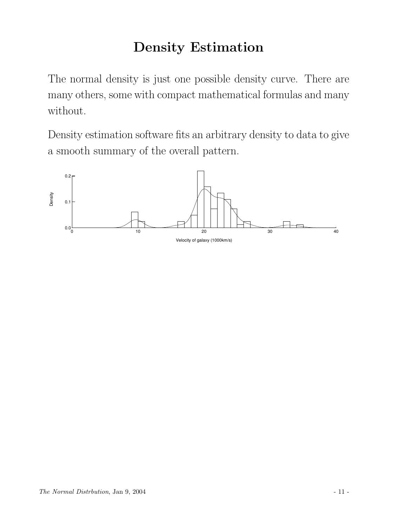# Density Estimation

The normal density is just one possible density curve. There are many others, some with compact mathematical formulas and many without.

Density estimation software fits an arbitrary density to data to give a smooth summary of the overall pattern.

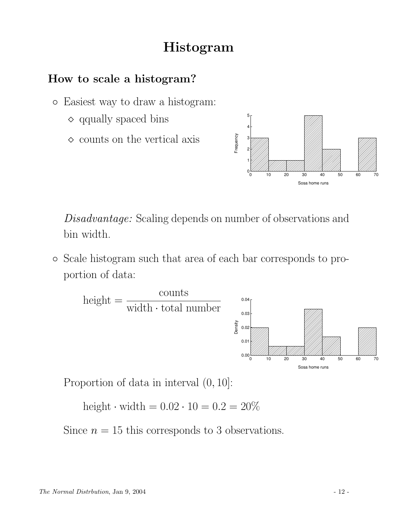## Histogram

#### How to scale a histogram?

- Easiest way to draw a histogram:
	- $\diamond$  qqually spaced bins
	- $\diamond$  counts on the vertical axis



Disadvantage: Scaling depends on number of observations and bin width.

◦ Scale histogram such that area of each bar corresponds to proportion of data:



Proportion of data in interval (0, 10]:

height  $\cdot$  width  $= 0.02 \cdot 10 = 0.2 = 20\%$ 

Since  $n = 15$  this corresponds to 3 observations.